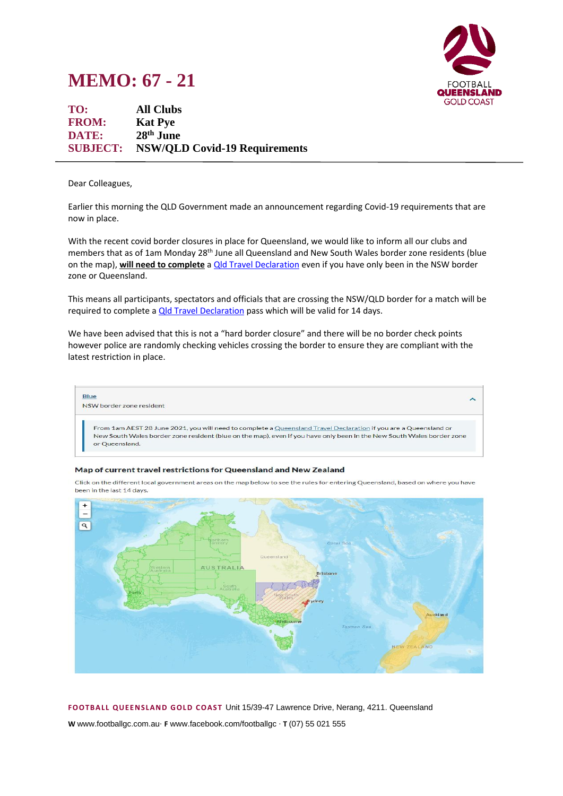## **MEMO: 67 - 21**



**TO: All Clubs FROM: Kat Pye DATE: 28** 28<sup>th</sup> June **SUBJECT: NSW/QLD Covid-19 Requirements**

Dear Colleagues,

Earlier this morning the QLD Government made an announcement regarding Covid-19 requirements that are now in place.

With the recent covid border closures in place for Queensland, we would like to inform all our clubs and members that as of 1am Monday 28<sup>th</sup> June all Queensland and New South Wales border zone residents (blue on the map), **will need to complete** a [Qld Travel Declaration](https://www.qld.gov.au/queensland-travel-declaration-form) even if you have only been in the NSW border zone or Queensland.

This means all participants, spectators and officials that are crossing the NSW/QLD border for a match will be required to complete a *Qld Travel Declaration* pass which will be valid for 14 days.

We have been advised that this is not a "hard border closure" and there will be no border check points however police are randomly checking vehicles crossing the border to ensure they are compliant with the latest restriction in place.



## Map of current travel restrictions for Queensland and New Zealand

Click on the different local government areas on the map below to see the rules for entering Queensland, based on where you have been in the last 14 days.



**FOOTB ALL QUEEN SLAND G OLD COAST** Unit 15/39-47 Lawrence Drive, Nerang, 4211. Queensland

**W** www.footballgc.com.au. **F** www.facebook.com/footballgc . **T** (07) 55 021 555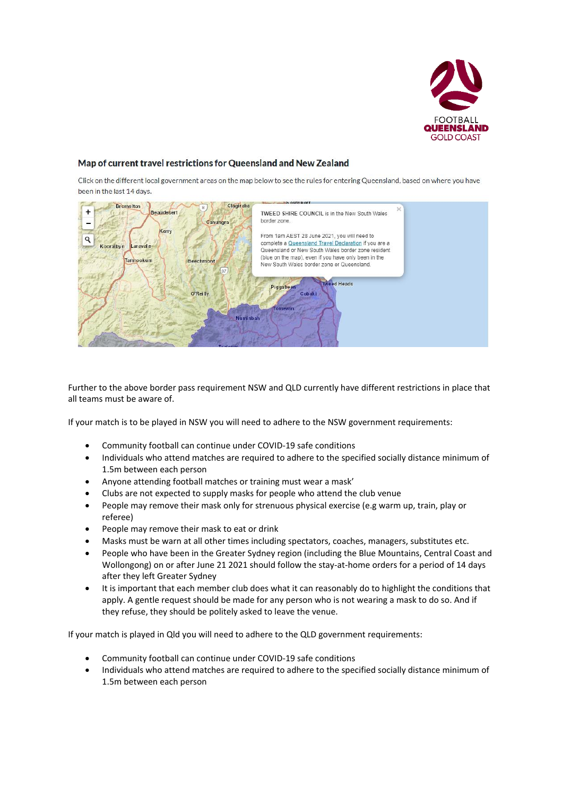

## Map of current travel restrictions for Queensland and New Zealand

Click on the different local government areas on the map below to see the rules for entering Queensland, based on where you have been in the last 14 days.



Further to the above border pass requirement NSW and QLD currently have different restrictions in place that all teams must be aware of.

If your match is to be played in NSW you will need to adhere to the NSW government requirements:

- Community football can continue under COVID-19 safe conditions
- Individuals who attend matches are required to adhere to the specified socially distance minimum of 1.5m between each person
- Anyone attending football matches or training must wear a mask'
- Clubs are not expected to supply masks for people who attend the club venue
- People may remove their mask only for strenuous physical exercise (e.g warm up, train, play or referee)
- People may remove their mask to eat or drink
- Masks must be warn at all other times including spectators, coaches, managers, substitutes etc.
- People who have been in the Greater Sydney region (including the Blue Mountains, Central Coast and Wollongong) on or after June 21 2021 should follow the stay-at-home orders for a period of 14 days after they left Greater Sydney
- It is important that each member club does what it can reasonably do to highlight the conditions that apply. A gentle request should be made for any person who is not wearing a mask to do so. And if they refuse, they should be politely asked to leave the venue.

If your match is played in Qld you will need to adhere to the QLD government requirements:

- Community football can continue under COVID-19 safe conditions
- Individuals who attend matches are required to adhere to the specified socially distance minimum of 1.5m between each person